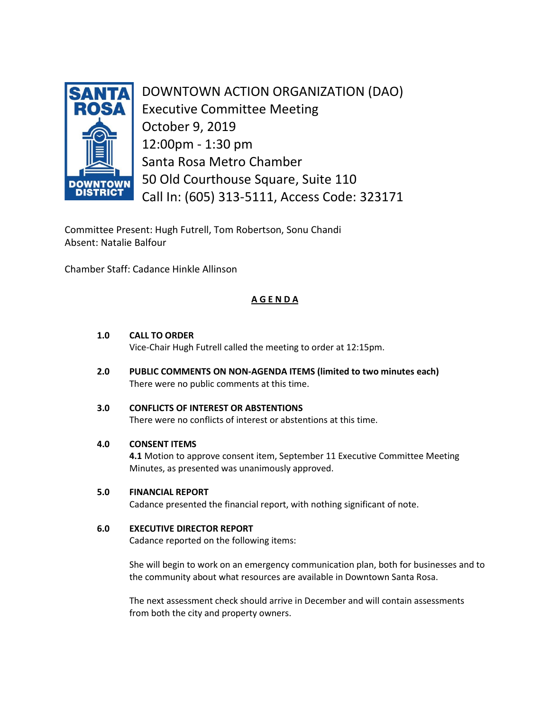

DOWNTOWN ACTION ORGANIZATION (DAO) Executive Committee Meeting October 9, 2019 12:00pm - 1:30 pm Santa Rosa Metro Chamber 50 Old Courthouse Square, Suite 110 Call In: (605) 313-5111, Access Code: 323171

Committee Present: Hugh Futrell, Tom Robertson, Sonu Chandi Absent: Natalie Balfour

Chamber Staff: Cadance Hinkle Allinson

# **A G E N D A**

# **1.0 CALL TO ORDER**

Vice-Chair Hugh Futrell called the meeting to order at 12:15pm.

**2.0 PUBLIC COMMENTS ON NON-AGENDA ITEMS (limited to two minutes each)** There were no public comments at this time.

# **3.0 CONFLICTS OF INTEREST OR ABSTENTIONS**

There were no conflicts of interest or abstentions at this time.

## **4.0 CONSENT ITEMS**

**4.1** Motion to approve consent item, September 11 Executive Committee Meeting Minutes, as presented was unanimously approved.

## **5.0 FINANCIAL REPORT**

Cadance presented the financial report, with nothing significant of note.

## **6.0 EXECUTIVE DIRECTOR REPORT**

Cadance reported on the following items:

She will begin to work on an emergency communication plan, both for businesses and to the community about what resources are available in Downtown Santa Rosa.

The next assessment check should arrive in December and will contain assessments from both the city and property owners.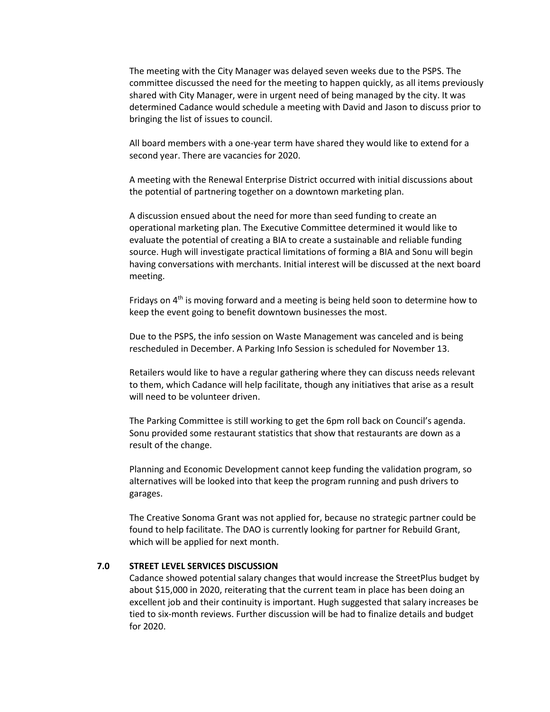The meeting with the City Manager was delayed seven weeks due to the PSPS. The committee discussed the need for the meeting to happen quickly, as all items previously shared with City Manager, were in urgent need of being managed by the city. It was determined Cadance would schedule a meeting with David and Jason to discuss prior to bringing the list of issues to council.

All board members with a one-year term have shared they would like to extend for a second year. There are vacancies for 2020.

A meeting with the Renewal Enterprise District occurred with initial discussions about the potential of partnering together on a downtown marketing plan.

A discussion ensued about the need for more than seed funding to create an operational marketing plan. The Executive Committee determined it would like to evaluate the potential of creating a BIA to create a sustainable and reliable funding source. Hugh will investigate practical limitations of forming a BIA and Sonu will begin having conversations with merchants. Initial interest will be discussed at the next board meeting.

Fridays on  $4<sup>th</sup>$  is moving forward and a meeting is being held soon to determine how to keep the event going to benefit downtown businesses the most.

Due to the PSPS, the info session on Waste Management was canceled and is being rescheduled in December. A Parking Info Session is scheduled for November 13.

Retailers would like to have a regular gathering where they can discuss needs relevant to them, which Cadance will help facilitate, though any initiatives that arise as a result will need to be volunteer driven.

The Parking Committee is still working to get the 6pm roll back on Council's agenda. Sonu provided some restaurant statistics that show that restaurants are down as a result of the change.

Planning and Economic Development cannot keep funding the validation program, so alternatives will be looked into that keep the program running and push drivers to garages.

The Creative Sonoma Grant was not applied for, because no strategic partner could be found to help facilitate. The DAO is currently looking for partner for Rebuild Grant, which will be applied for next month.

#### **7.0 STREET LEVEL SERVICES DISCUSSION**

Cadance showed potential salary changes that would increase the StreetPlus budget by about \$15,000 in 2020, reiterating that the current team in place has been doing an excellent job and their continuity is important. Hugh suggested that salary increases be tied to six-month reviews. Further discussion will be had to finalize details and budget for 2020.